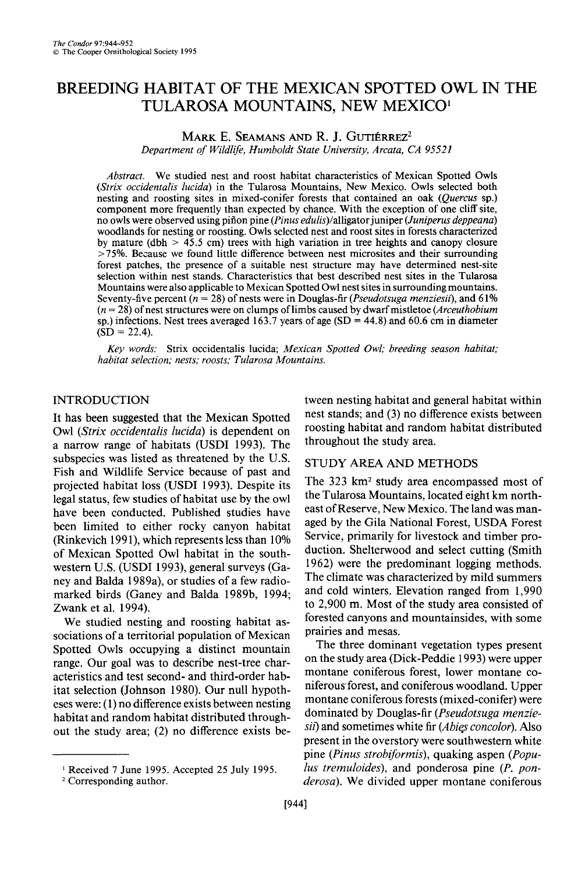# **BREEDING HABITAT OF THE MEXICAN SPOTTED OWL IN THE TULAROSA MOUNTAINS, NEW MEXICO'**

## **MARK E. SEAMANS AND R. J. GUTIÉRREZ<sup>2</sup> Department of Wildlife, Humboldt State University, Arcata, CA 95521**

**Abstract. We studied nest and roost habitat characteristics of Mexican Spotted Owls**  (Strix occidentalis lucida) in the Tularosa Mountains, New Mexico, Owls selected both **nesting and roosting sites in mixed-conifer forests that contained an oak (Quercus sp.) component more frequently than expected by chance. With the exception of one cliff site,**  no owls were observed using piñon pine (*Pinus edulis*)/alligator juniper (*Juniperus deppeana*) **woodlands for nesting or roosting. Owls selected nest and roost sites in forests characterized by mature (dbh > 45.5 cm) trees with high variation in tree heights and canopy closure >75%. Because we found little difference between nest microsites and their surrounding forest patches, the presence of a suitable nest structure may have determined nest-site selection within nest stands. Characteristics that best described nest sites in the Tularosa Mountains were also applicable to Mexican Spotted Owl nest sites in surrounding mountains. Seventy-five percent (n = 28) of nests were in Douglas-fir (Pseudotsuga menziesii), and 6 1% (n = 28) of nest structures were on clumps of limbs caused by dwarf mistletoe (Arceuthobium sp.) infections. Nest trees averaged 163.7 years of age (SD = 44.8) and 60.6 cm in diameter**   $(SD = 22.4)$ .

**Key words: Strix occidentalis lucida; Mexican Spotted Owl; breeding season habitat; habitat selection; nests; roosts: Tularosa Mountains.** 

# **INTRODUCTION**

**It has been suggested that the Mexican Spotted Owl (Strix occidentalis lucida) is dependent on a narrow range of habitats (USDI 1993). The subspecies was listed as threatened by the U.S. Fish and Wildlife Service because of past and projected habitat loss (USDI 1993). Despite its legal status, few studies of habitat use by the owl have been conducted. Published studies have been limited to either rocky canyon habitat (Rinkevich 199 l), which represents less than 10% of Mexican Spotted Owl habitat in the south**western U.S. (USDI 1993), general surveys (Ga**ney and Balda 1989a), or studies of a few radiomarked birds (Ganey and Balda 1989b, 1994; Zwank et al. 1994).** 

**We studied nesting and roosting habitat associations of a territorial population of Mexican Spotted Owls occupying a distinct mountain range. Our goal was to describe nest-tree characteristics and test second- and third-order habitat selection (Johnson 1980). Our null hypotheses were: (1) no difference exists between nesting habitat and random habitat distributed throughout the study area; (2) no difference exists be-**  **tween nesting habitat and general habitat within nest stands; and (3) no difference exists between roosting habitat and random habitat distributed throughout the study area.** 

## **STUDY AREA AND METHODS**

**The 323 km2 study area encompassed most of the Tularosa Mountains, located eight km northeast of Reserve, New Mexico. The land was managed by the Gila National Forest, USDA Forest Service, primarily for livestock and timber production. Shelterwood and select cutting (Smith 1962) were the predominant logging methods. The climate was characterized by mild summers and cold winters. Elevation ranged from 1,990 to 2,900 m. Most of the study area consisted of forested canyons and mountainsides, with some prairies and mesas.** 

**The three dominant vegetation types present on the study area (Dick-Peddie 1993) were upper montane coniferous forest, lower montane coniferousforest, and coniferous woodland. Upper montane coniferous forests (mixed-conifer) were dominated by Douglas-fir (Pseudotsuga menzie**sii) and sometimes white fir (Abies concolor). Also **present in the overstory were southwestern white pine (Pinus strobiformis), quaking aspen (Populus tremuloides), and ponderosa pine (P. ponderosa). We divided upper montane coniferous** 

**<sup>&#</sup>x27; Received 7 June 1995. Accepted 25 July 1995.** 

**<sup>2</sup> Corresponding author.**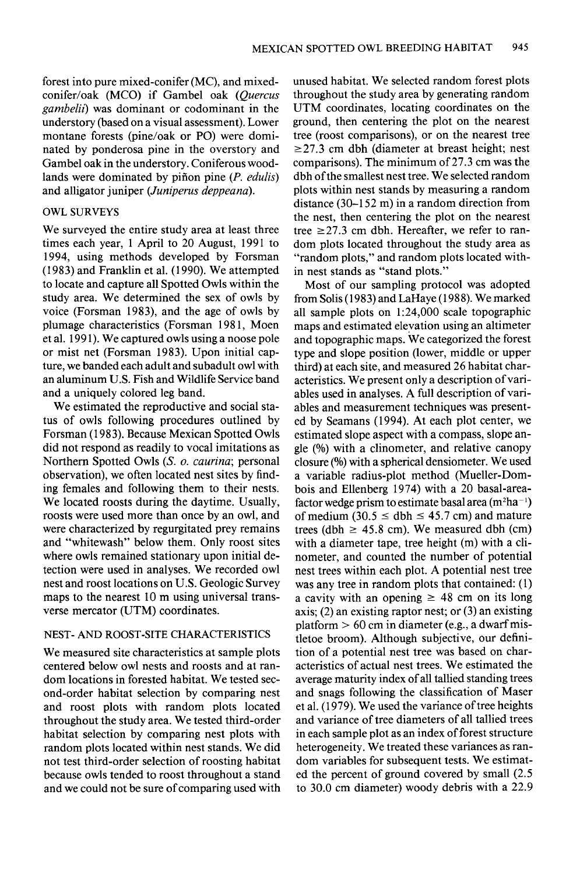**forest into pure mixed-conifer (MC), and mixedconifer/oak (MCO) if Gambel oak (Quercus gambelii) was dominant or codominant in the understory (based on a visual assessment). Lower montane forests (pine/oak or PO) were dominated by ponderosa pine in the overstory and Gambel oak in the understory. Coniferous woodlands were dominated by pifion pine (P. edulis) and alligator juniper (Juniperus deppeana).** 

## **OWL SURVEYS**

**We surveyed the entire study area at least three**  times each year, 1 April to 20 August, 1991 to **1994, using methods developed by Forsman (1983) and Franklin et al. (1990). We attempted to locate and capture all Spotted Owls within the study area. We determined the sex of owls by voice (Forsman 1983), and the age of owls by plumage characteristics (Forsman 198 1, Moen et al. 199 1). We captured owls using a noose pole or mist net (Forsman 1983). Upon initial capture, we banded each adult and subadult owl with an aluminum U.S. Fish and Wildlife Service band and a uniquely colored leg band.** 

**We estimated the reproductive and social status of owls following procedures outlined by Forsman (1983). Because Mexican Spotted Owls did not respond as readily to vocal imitations as Northern Spotted Owls (S. o. caurina; personal observation), we often located nest sites by finding females and following them to their nests. We located roosts during the daytime. Usually, roosts were used more than once by an owl, and were characterized by regurgitated prey remains and "whitewash" below them. Only roost sites where owls remained stationary upon initial detection were used in analyses. We recorded owl nest and roost locations on U.S. Geologic Survey maps to the nearest 10 m using universal transverse mercator (UTM) coordinates.** 

# **NEST- AND ROOST-SITE CHARACTERISTICS**

**We measured site characteristics at sample plots centered below owl nests and roosts and at random locations in forested habitat. We tested second-order habitat selection by comparing nest and roost plots with random plots located throughout the study area. We tested third-order habitat selection by comparing nest plots with random plots located within nest stands. We did not test third-order selection of roosting habitat because owls tended to roost throughout a stand and we could not be sure of comparing used with**  **unused habitat. We selected random forest plots throughout the study area by generating random UTM coordinates, locating coordinates on the ground, then centering the plot on the nearest tree (roost comparisons), or on the nearest tree ~27.3 cm dbh (diameter at breast height; nest comparisons). The minimum of 27.3 cm was the dbh of the smallest nest tree. We selected random plots within nest stands by measuring a random distance (30-152 m) in a random direction from the nest, then centering the plot on the nearest**  tree  $\geq$  27.3 cm dbh. Hereafter, we refer to ran**dom plots located throughout the study area as "random plots," and random plots located within nest stands as "stand plots."** 

**Most of our sampling protocol was adopted from Solis (1983) and LaHaye (1988). We marked all sample plots on 1:24,000 scale topographic maps and estimated elevation using an altimeter and topographic maps. We categorized the forest type and slope position (lower, middle or upper third) at each site, and measured 26 habitat characteristics. We present only a description of variables used in analyses. A full description of variables and measurement techniques was presented by Seamans (1994). At each plot center, we estimated slope aspect with a compass, slope angle (%) with a clinometer, and relative canopy closure (%) with a spherical densiometer. We used a variable radius-plot method (Mueller-Dombois and Ellenberg 1974) with a 20 basal-area**factor wedge prism to estimate basal area  $(m^2ha^{-1})$ of medium  $(30.5 \leq \text{dbh} \leq 45.7 \text{ cm})$  and mature trees (dbh  $\geq 45.8$  cm). We measured dbh (cm) **with a diameter tape, tree height (m) with a clinometer, and counted the number of potential nest trees within each plot. A potential nest tree was any tree in random plots that contained: (1)**  a cavity with an opening  $\geq 48$  cm on its long **axis; (2) an existing raptor nest; or (3) an existing platform > 60 cm in diameter (e.g., a dwarfmistletoe broom). Although subjective, our definition of a potential nest tree was based on characteristics of actual nest trees. We estimated the average maturity index of all tallied standing trees and snags following the classification of Maser et al. (1979). We used the variance of tree heights and variance of tree diameters of all tallied trees in each sample plot as an index of forest structure heterogeneity. We treated these variances as random variables for subsequent tests. We estimated the percent of ground covered by small (2.5 to 30.0 cm diameter) woody debris with a 22.9**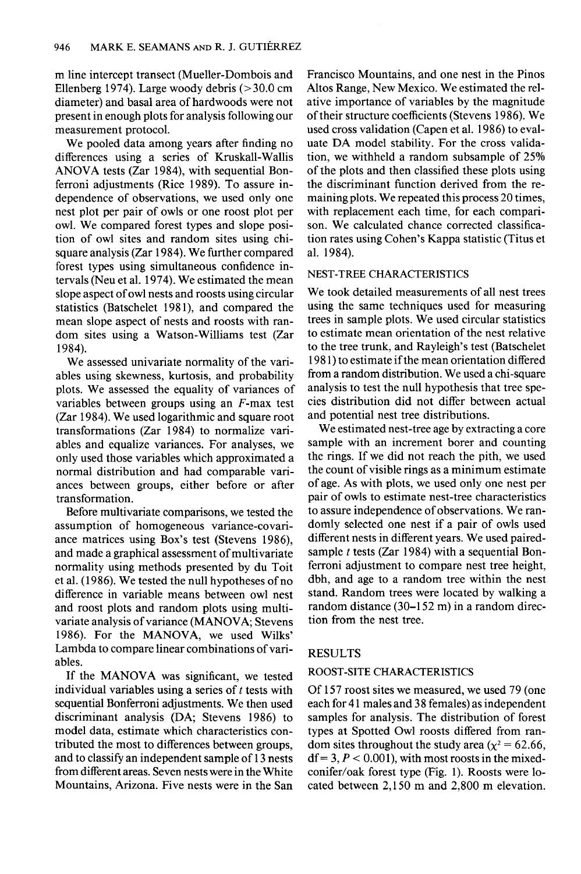**m line intercept transect (Mueller-Dombois and Ellenberg 1974). Large woody debris (> 30.0 cm diameter) and basal area of hardwoods were not present in enough plots for analysis following our measurement protocol.** 

**We pooled data among years after finding no differences using a series of Kruskall-Wallis**  ANOVA tests (Zar 1984), with sequential Bon**ferroni adjustments (Rice 1989). To assure independence of observations, we used only one nest plot per pair of owls or one roost plot per owl. We compared forest types and slope position of owl sites and random sites using chisquare analysis (Zar 1984). We further compared forest types using simultaneous confidence intervals (Neu et al. 1974). We estimated the mean slope aspect of owl nests and roosts using circular**  statistics (Batschelet 1981), and compared the **mean slope aspect of nests and roosts with random sites using a Watson-Williams test (Zar 1984).** 

**We assessed univariate normality of the variables using skewness, kurtosis, and probability plots. We assessed the equality of variances of variables between groups using an F-max test (Zar 1984). We used logarithmic and square root transformations (Zar 1984) to normalize variables and equalize variances. For analyses, we only used those variables which approximated a normal distribution and had comparable variances between groups, either before or after transformation.** 

**Before multivariate comparisons, we tested the assumption of homogeneous variance-covari**ance matrices using Box's test (Stevens 1986), **and made a graphical assessment of multivariate normality using methods presented by du Toit et al. (1986). We tested the null hypotheses of no difference in variable means between owl nest and roost plots and random plots using multivariate analysis of variance (MANOVA, Stevens 1986). For the MANOVA, we used Wilks' Lambda to compare linear combinations of variables.** 

**If the MANOVA was significant, we tested**  individual variables using a series of t tests with **sequential Bonfetroni adjustments. We then used discriminant analysis (DA; Stevens 1986) to model data, estimate which characteristics contributed the most to differences between groups, and to classify an independent sample of 13 nests from different areas. Seven nests were in the White Mountains, Arizona. Five nests were in the San**  **Francisco Mountains, and one nest in the Pinos Altos Range, New Mexico. We estimated the relative importance of variables by the magnitude of their structure coefficients (Stevens 1986). We used cross validation (Capen et al. 1986) to evaluate DA model stability. For the cross validation, we withheld a random subsample of 25% of the plots and then classified these plots using the discriminant function derived from the remaining plots. We repeated this process 20 times, with replacement each time, for each comparison. We calculated chance corrected classification rates using Cohen's Kappa statistic (Titus et al. 1984).** 

## **NEST-TREE CHARACTERISTICS**

**We took detailed measurements of all nest trees using the same techniques used for measuring trees in sample plots. We used circular statistics to estimate mean orientation of the nest relative to the tree trunk, and Rayleigh's test (Batschelet 198 1) to estimate if the mean orientation differed from a random distribution. We used a chi-square analysis to test the null hypothesis that tree species distribution did not differ between actual and potential nest tree distributions.** 

**We estimated nest-tree age by extracting a core sample with an increment borer and counting the rings. If we did not reach the pith, we used the count of visible rings as a minimum estimate of age. As with plots, we used only one nest per pair of owls to estimate nest-tree characteristics to assure independence of observations. We randomly selected one nest if a pair of owls used different nests in different years. We used pairedsample t tests (Zar 1984) with a sequential Bonferroni adjustment to compare nest tree height, dbh, and age to a random tree within the nest stand. Random trees were located by walking a random distance (30-152 m) in a random direction from the nest tree.** 

#### **RESULTS**

## **ROOST-SITE CHARACTERISTICS**

**Of 157 roost sites we measured, we used 79 (one each for 4 1 males and 38 females) as independent samples for analysis. The distribution of forest types at Spotted Owl roosts differed from ran**dom sites throughout the study area  $(x^2 = 62.66)$ ,  $df = 3, P < 0.001$ , with most roosts in the mixed**conifer/oak forest type (Fig. 1). Roosts were located between 2,150 m and 2,800 m elevation.**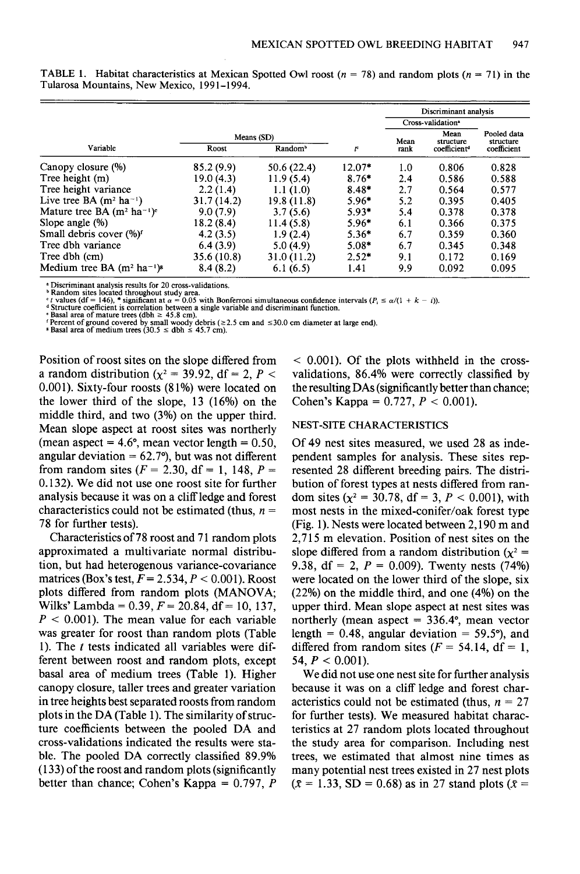|                                          |             |                     | Discriminant analysis |                               |                          |                          |
|------------------------------------------|-------------|---------------------|-----------------------|-------------------------------|--------------------------|--------------------------|
|                                          |             |                     |                       | Cross-validation <sup>®</sup> |                          |                          |
|                                          | Means (SD)  |                     |                       | Mean                          | Mean<br>structure        | Pooled data<br>structure |
| Variable                                 | Roost       | Random <sup>b</sup> | ŗ                     | rank                          | coefficient <sup>®</sup> | coefficient              |
| Canopy closure (%)                       | 85.2 (9.9)  | 50.6 (22.4)         | $12.07*$              | 1.0                           | 0.806                    | 0.828                    |
| Tree height (m)                          | 19.0(4.3)   | 11.9(5.4)           | $8.76*$               | 2.4                           | 0.586                    | 0.588                    |
| Tree height variance                     | 2.2(1.4)    | 1.1(1.0)            | $8.48*$               | 2.7                           | 0.564                    | 0.577                    |
| Live tree BA $(m^2 \text{ ha}^{-1})$     | 31.7 (14.2) | 19.8 (11.8)         | $5.96*$               | 5.2                           | 0.395                    | 0.405                    |
| Mature tree BA $(m^2 \text{ ha}^{-1})^e$ | 9.0(7.9)    | 3.7(5.6)            | $5.93*$               | 5.4                           | 0.378                    | 0.378                    |
| Slope angle $(\%)$                       | 18.2(8.4)   | 11.4(5.8)           | $5.96*$               | 6.1                           | 0.366                    | 0.375                    |
| Small debris cover (%) <sup>f</sup>      | 4.2(3.5)    | 1.9(2.4)            | $5.36*$               | 6.7                           | 0.359                    | 0.360                    |
| Tree dbh variance                        | 6.4(3.9)    | 5.0(4.9)            | $5.08*$               | 6.7                           | 0.345                    | 0.348                    |
| Tree dbh (cm)                            | 35.6 (10.8) | 31.0(11.2)          | $2.52*$               | 9.1                           | 0.172                    | 0.169                    |
| Medium tree BA $(m^2 \text{ ha}^{-1})^8$ | 8.4(8.2)    | 6.1(6.5)            | 1.41                  | 9.9                           | 0.092                    | 0.095                    |

**TABLE 1. Habitat characteristics at Mexican Spotted Owl roost (** $n = 78$ **) and random plots (** $n = 71$ **) in the Tularosa Mountains, New Mexico, 199 l-l 994.** 

**\* Discriminant analysis results for 20 cross-validations.** 

<sup>b</sup> Random sites located throughout study area.<br>
<sup>6</sup> I values (df = 146), \* significant at  $\alpha$  = 0.05 with Bonferroni simultaneous confidence intervals (P<sub>i</sub> ≤  $\alpha/(1 + k$ <br>
<sup>6</sup> Structure coefficient is correlation between **1)).** 

**Position of roost sites on the slope differed from**  a random distribution ( $\chi^2$  = 39.92, df = 2, P < **0.001). Sixty-four roosts (81%) were located on the lower third of the slope, 13 (16%) on the middle third, and two (3%) on the upper third. Mean slope aspect at roost sites was northerly**  (mean aspect  $= 4.6^{\circ}$ , mean vector length  $= 0.50$ , **angular deviation = 62.7"), but was not different**  from random sites  $(F = 2.30, df = 1, 148, P =$ **0.132). We did not use one roost site for further analysis because it was on a cliff ledge and forest**  characteristics could not be estimated (thus,  $n=$ **78 for further tests).** 

**Characteristics of 78 roost and 7 1 random plots approximated a multivariate normal distribution, but had heterogenous variance-covariance matrices (Box's test, F= 2.534, P < 0.001). Roost**  plots differed from random plots (MANOVA; Wilks' Lambda =  $0.39, F = 20.84, df = 10, 137,$  $P < 0.001$ ). The mean value for each variable **was greater for roost than random plots (Table 1). The t tests indicated all variables were different between roost and random plots, except basal area of medium trees (Table 1). Higher canopy closure, taller trees and greater variation in tree heights best separated roosts from random plots in the DA (Table 1). The similarity of structure coefficients between the pooled DA and cross-validations indicated the results were stable. The pooled DA correctly classified 89.9% (133) of the roost and random plots (significantly better than chance; Cohen's Kappa = 0.797, P** 

**< 0.001). Of the plots withheld in the crossvalidations, 86.4% were correctly classified by the resulting DAs (significantly better than chance;**  Cohen's Kappa =  $0.727$ ,  $P < 0.001$ ).

#### **NEST-SITE CHARACTERISTICS**

**Of 49 nest sites measured, we used 28 as independent samples for analysis. These sites represented 28 different breeding pairs. The distribution of forest types at nests differed from ran**dom sites ( $\chi^2 = 30.78$ , df = 3, P < 0.001), with **most nests in the mixed-conifer/oak forest type (Fig. 1). Nests were located between 2,190 m and 2,715 m elevation. Position of nest sites on the**  slope differed from a random distribution ( $\chi^2$  = **9.38, df = 2, P = 0.009). Twenty nests (74%) were located on the lower third of the slope, six (22%) on the middle third, and one (4%) on the upper third. Mean slope aspect at nest sites was northerly (mean aspect = 336.4", mean vector length = 0.48, angular deviation = 59.5"), and**  differed from random sites  $(F = 54.14, df = 1)$ , 54,  $P < 0.001$ ).

**We did not use one nest site for further analysis because it was on a cliff ledge and forest char**acteristics could not be estimated (thus,  $n = 27$ **for further tests). We measured habitat characteristics at 27 random plots located throughout the study area for comparison. Including nest trees, we estimated that almost nine times as many potential nest trees existed in 27 nest plots**   $(\bar{x} = 1.33, SD = 0.68)$  as in 27 stand plots  $(\bar{x} = 1.33, SD = 0.68)$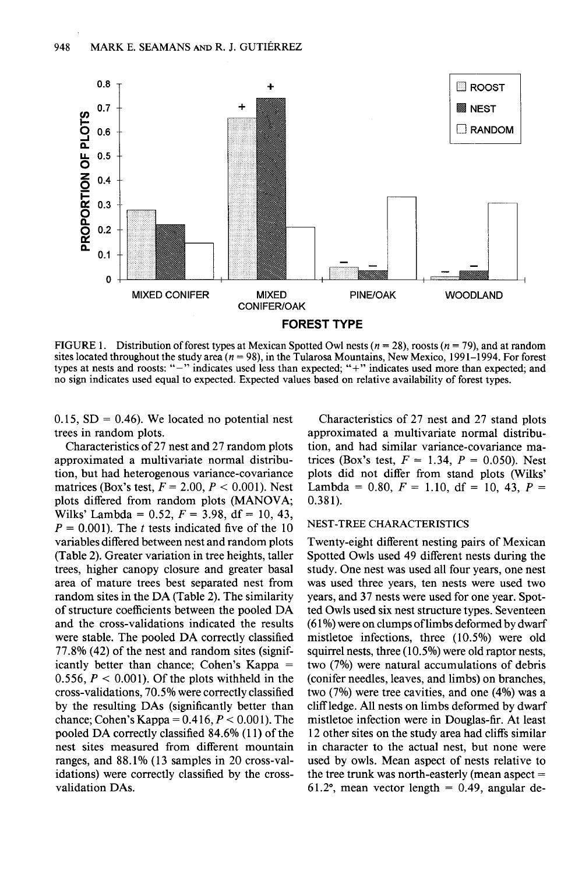

**FIGURE 1.** Distribution of forest types at Mexican Spotted Owl nests  $(n = 28)$ , roosts  $(n = 79)$ , and at random sites located throughout the study area  $(n = 98)$ , in the Tularosa Mountains, New Mexico, 1991–1994. For forest **types at nests and roosts: "-" indicates used less than expected, "f" indicates used more than expected; and no sign indicates used equal to expected. Expected values based on relative availability of forest types.** 

0.15,  $SD = 0.46$ ). We located no potential nest **trees in random plots.** 

**Characteristics of 27 nest and 27 random plots approximated a multivariate normal distribution, but had heterogenous variance-covariance matrices (Box's test,**  $F = 2.00, P < 0.001$ **). Nest plots differed from random plots (MANOVA;**  Wilks' Lambda =  $0.52$ ,  $F = 3.98$ ,  $df = 10, 43$ ,  $P = 0.001$ . The *t* tests indicated five of the 10 **variables differed between nest and random plots (Table 2). Greater variation in tree heights, taller trees, higher canopy closure and greater basal area of mature trees best separated nest from random sites in the DA (Table 2). The similarity of structure coefficients between the pooled DA and the cross-validations indicated the results were stable. The pooled DA correctly classified 77.8% (42) of the nest and random sites (significantly better than chance; Cohen's Kappa =**  0.556,  $P < 0.001$ ). Of the plots withheld in the **cross-validations, 70.5% were correctly classified by the resulting DAs (significantly better than chance; Cohen's Kappa = 0.416,**  $P < 0.001$ **). The pooled DA correctly classified 84.6% (11) of the nest sites measured from different mountain ranges, and 88.1% (13 samples in 20 cross-validations) were correctly classified by the crossvalidation DAs.** 

**Characteristics of 27 nest and 27 stand plots approximated a multivariate normal distribution, and had similar variance-covariance matrices (Box's test,**  $F = 1.34$ **,**  $P = 0.050$ **). Nest plots did not differ from stand plots (Wilks'**   $Lambda = 0.80, F = 1.10, df = 10, 43, P =$ **0.38 1).** 

#### **NEST-TREE CHARACTERISTICS**

**Twenty-eight different nesting pairs of Mexican Spotted Owls used 49 different nests during the study. One nest was used all four years, one nest was used three years, ten nests were used two years, and 37 nests were used for one year. Spotted Owls used six nest structure types. Seventeen (6 1%) were on clumps of limbs deformed by dwarf mistletoe infections, three (10.5%) were old squirrel nests, three (10.5%) were old raptor nests, two (7%) were natural accumulations of debris (conifer needles, leaves, and limbs) on branches, two (7%) were tree cavities, and one (4%) was a cliff ledge. All nests on limbs deformed by dwarf mistletoe infection were in Douglas-fir. At least 12 other sites on the study area had cliffs similar in character to the actual nest, but none were used by owls. Mean aspect of nests relative to the tree trunk was north-easterly (mean aspect = 61.2", mean vector length = 0.49, angular de-**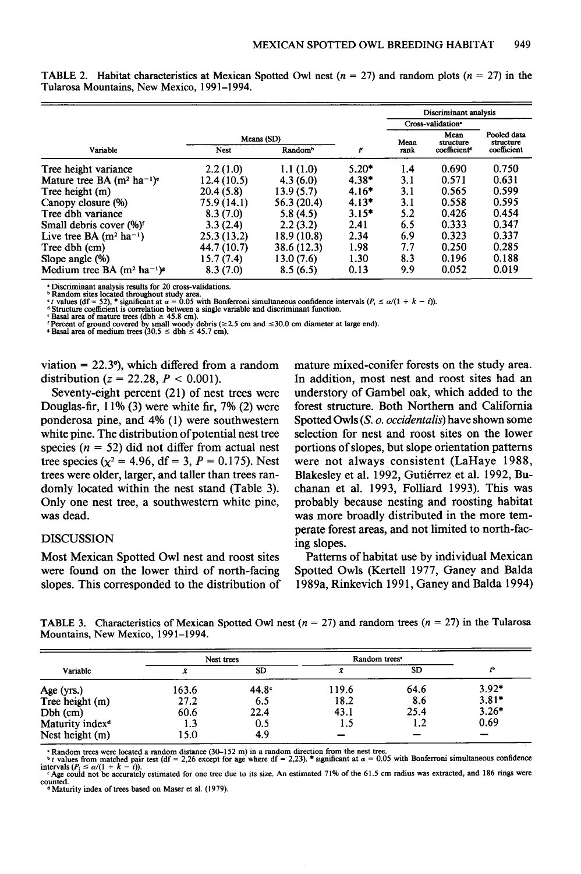|                                          |             |                     |         | Discriminant analysis |                               |                          |
|------------------------------------------|-------------|---------------------|---------|-----------------------|-------------------------------|--------------------------|
|                                          |             |                     |         |                       | Cross-validation <sup>®</sup> |                          |
|                                          | Means (SD)  |                     |         | Mean                  | Mean<br>structure             | Pooled data<br>structure |
| Variable                                 | <b>Nest</b> | Random <sup>®</sup> | r       | rank                  | coefficient <sup>d</sup>      | coefficient              |
| Tree height variance                     | 2.2(1.0)    | 1.1(1.0)            | $5.20*$ | 1.4                   | 0.690                         | 0.750                    |
| Mature tree BA $(m^2 \text{ ha}^{-1})^c$ | 12.4 (10.5) | 4.3(6.0)            | $4.38*$ | 3.1                   | 0.571                         | 0.631                    |
| Tree height (m)                          | 20.4(5.8)   | 13.9(5.7)           | $4.16*$ | 3.1                   | 0.565                         | 0.599                    |
| Canopy closure (%)                       | 75.9 (14.1) | 56.3(20.4)          | $4.13*$ | 3.1                   | 0.558                         | 0.595                    |
| Tree dhh variance                        | 8.3(7.0)    | 5.8(4.5)            | $3.15*$ | 5.2                   | 0.426                         | 0.454                    |
| Small debris cover (%) <sup>f</sup>      | 3.3(2.4)    | 2.2(3.2)            | 2.41    | 6.5                   | 0.333                         | 0.347                    |
| Live tree BA $(m^2 ha^{-1})$             | 25.3 (13.2) | 18.9 (10.8)         | 2.34    | 6.9                   | 0.323                         | 0.337                    |
| Tree dbh (cm)                            | 44.7 (10.7) | 38.6 (12.3)         | 1.98    | 7.7                   | 0.250                         | 0.285                    |
| Slope angle $(\%)$                       | 15.7(7.4)   | 13.0(7.6)           | 1.30    | 8.3                   | 0.196                         | 0.188                    |
| Medium tree BA $(m^2 \text{ ha}^{-1})^8$ | 8.3(7.0)    | 8.5(6.5)            | 0.13    | 9.9                   | 0.052                         | 0.019                    |

**TABLE 2.** Habitat characteristics at Mexican Spotted Owl nest  $(n = 27)$  and random plots  $(n = 27)$  in the **Tularosa Mountains, New Mexico, 199 l-l 994.** 

**\* Discriminant analysis results for 20 cross-validations.** 

<sup>b</sup> Random sites located throughout study area.<br>
<sup>e</sup> Yalues (df = 52), <sup>\*</sup> significant at  $\alpha = 0.05$  with Bonferroni simultaneous confidence intervals ( $P_i \le \alpha/(1 + k - i)$ ).<br>
<sup>4</sup> Structure coefficient is correlation between a

**viation = 22.39, which differed from a random**  distribution ( $z = 22.28$ ,  $P < 0.001$ ).

**Seventy-eight percent (21) of nest trees were Douglas-fir, 11% (3) were white fir, 7% (2) were ponderosa pine, and 4% (1) were southwestern white pine. The distribution of potential nest tree**  species  $(n = 52)$  did not differ from actual nest tree species ( $\chi^2$  = 4.96, df = 3, P = 0.175). Nest **trees were older, larger, and taller than trees randomly located within the nest stand (Table 3). Only one nest tree, a southwestern white pine, was dead.** 

## **DISCUSSION**

**were found on the lower third of north-facing Spotted Owls (Kertell 1977, Ganey and Balda**  slopes. This corresponded to the distribution of 1989a, Rinkevich 1991, Ganey and Balda 1994)

**mature mixed-conifer forests on the study area. In addition, most nest and roost sites had an understory of Gambel oak, which added to the forest structure. Both Northern and California Spotted Owls (S. o. occidentalis) have shown some selection for nest and roost sites on the lower portions of slopes, but slope orientation patterns were not always consistent (LaHaye 1988,**  Blakesley et al. 1992, Gutiérrez et al. 1992, Bu**chanan et al. 1993, Folliard 1993). This was probably because nesting and roosting habitat was more broadly distributed in the more temperate forest areas, and not limited to north-facing slopes.** 

**Most Mexican Spotted Owl nest and roost sites Patterns of habitat use by individual Mexican** 

**TABLE 3.** Characteristics of Mexican Spotted Owl nest ( $n = 27$ ) and random trees ( $n = 27$ ) in the Tularosa **Mountains, New Mexico, 1991-1994.** 

| Variable                    | Nest trees |                   | Random trees <sup>*</sup> |      |                |
|-----------------------------|------------|-------------------|---------------------------|------|----------------|
|                             |            | <b>SD</b>         | х                         | SD   | $\overline{b}$ |
| Age (yrs.)                  | 163.6      | 44.8 <sup>c</sup> | 119.6                     | 64.6 | $3.92*$        |
| Tree height (m)             | 27.2       | 6.5               | 18.2                      | 8.6  | $3.81*$        |
| $Dbh$ (cm)                  | 60.6       | 22.4              | 43.1                      | 25.4 | $3.26*$        |
| Maturity index <sup>d</sup> | 1.3        | 0.5               | 1.5                       | 1.2  | 0.69           |
| Nest height (m)             | 15.0       | 4.9               |                           |      |                |

**• Random trees were located a random distance (30–152 m) in a random direction from the nest tree.**<br>• *t* values from matched pair test (df = 2,26 except for age where df = 2,23). \* significant at  $\alpha$  = 0.05 with Bonfer

 $\epsilon$  Age could not be accurately estimated for one tree due to its size. An estimated 71% of the 61.5 cm radius was extracted, and 186 rings were **counted. d Maturity index of trees based on Maser et al. (1979).**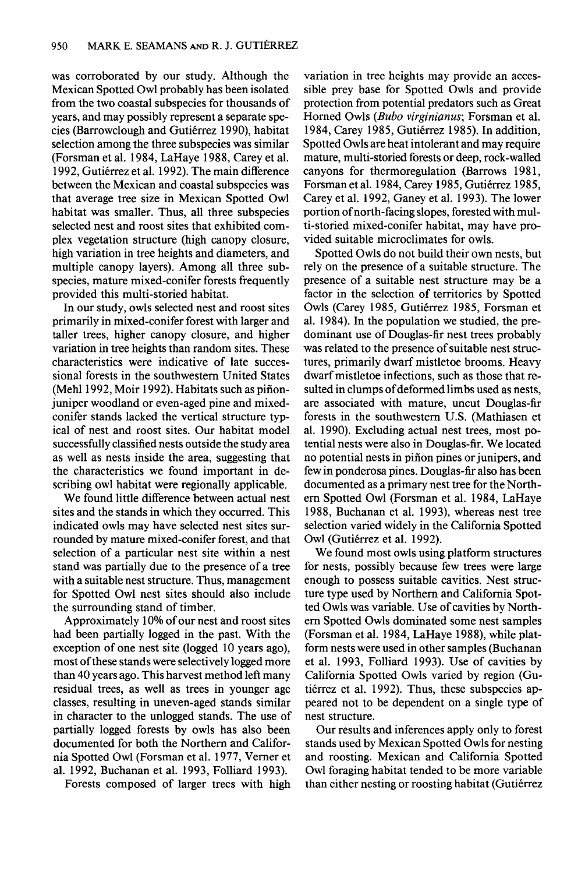**was corroborated by our study. Although the Mexican Spotted Owl probably has been isolated from the two coastal subspecies for thousands of years, and may possibly represent a separate spe**cies (Barrowclough and Gutiérrez 1990), habitat **selection among the three subspecies was similar (Forsman et al. 1984, LaHaye 1988, Carey et al.**  1992, Gutiérrez et al. 1992). The main difference **between the Mexican and coastal subspecies was that average tree size in Mexican Spotted Owl habitat was smaller. Thus, all three subspecies selected nest and roost sites that exhibited complex vegetation structure (high canopy closure, high variation in tree heights and diameters, and multiple canopy layers). Among all three subspecies, mature mixed-conifer forests frequently provided this multi-storied habitat.** 

**In our study, owls selected nest and roost sites primarily in mixed-conifer forest with larger and taller trees, higher canopy closure, and higher variation in tree heights than random sites. These characteristics were indicative of late successional forests in the southwestern United States**  (Mehl 1992, Moir 1992). Habitats such as piñon**juniper woodland or even-aged pine and mixedconifer stands lacked the vertical structure typical of nest and roost sites. Our habitat model successfully classified nests outside the study area as well as nests inside the area, suggesting that the characteristics we found important in describing owl habitat were regionally applicable.** 

**We found little difference between actual nest sites and the stands in which they occurred. This indicated owls may have selected nest sites surrounded by mature mixed-conifer forest, and that selection of a particular nest site within a nest stand was partially due to the presence of a tree with a suitable nest structure. Thus, management for Spotted Owl nest sites should also include the surrounding stand of timber.** 

**Approximately 10% of our nest and roost sites had been partially logged in the past. With the exception of one nest site (logged 10 years ago), most of these stands were selectively logged more than 40 years ago. This harvest method left many residual trees, as well as trees in younger age classes, resulting in uneven-aged stands similar in character to the unlogged stands. The use of partially logged forests by owls has also been documented for both the Northern and California Spotted Owl (Forsman et al. 1977, Vemer et al. 1992, Buchanan et al. 1993, Folliard 1993).** 

**Forests composed of larger trees with high** 

**variation in tree heights may provide an accessible prey base for Spotted Owls and provide protection from potential predators such as Great**  Horned Owls (Bubo virginianus; Forsman et al. 1984, Carey 1985, Gutiérrez 1985). In addition, **Spotted Owls are heat intolerant and may require mature, multi-storied forests or deep, rock-walled**  canyons for thermoregulation (Barrows 1981, **Forsman et al. 1984, Carey 1985, Gutierrez 1985, Carey et al. 1992, Ganey et al. 1993). The lower portion of north-facing slopes, forested with multi-storied mixed-conifer habitat, may have provided suitable microclimates for owls.** 

**Spotted Owls do not build their own nests, but rely on the presence of a suitable structure. The presence of a suitable nest structure may be a factor in the selection of territories by Spotted Owls (Carey 1985, Gutierrez 1985, Forsman et al. 1984). In the population we studied, the predominant use of Douglas-fir nest trees probably was related to the presence of suitable nest structures, primarily dwarf mistletoe brooms. Heavy dwarf mistletoe infections, such as those that resulted in clumps of deformed limbs used as nests, are associated with mature, uncut Douglas-fir forests in the southwestern U.S. (Mathiasen et al. 1990). Excluding actual nest trees, most potential nests were also in Douglas-fir. We located no potential nests in pifion pines or junipers, and few in ponderosa pines. Douglas-fir also has been documented as a primary nest tree for the Northem Spotted Owl (Forsman et al. 1984, LaHaye 1988, Buchanan et al. 1993), whereas nest tree selection varied widely in the California Spotted**  Owl (Gutiérrez et al. 1992).

**We found most owls using platform structures for nests, possibly because few trees were large enough to possess suitable cavities. Nest structure type used by Northern and California Spotted Owls was variable. Use of cavities by Northem Spotted Owls dominated some nest samples (Forsman et al. 1984, LaHaye 1988), while platform nests were used in other samples (Buchanan et al. 1993, Folliard 1993). Use of cavities by California Spotted Owls varied by region (Gu**tiérrez et al. 1992). Thus, these subspecies ap**peared not to be dependent on a single type of nest structure.** 

**Our results and inferences apply only to forest stands used by Mexican Spotted Owls for nesting and roosting. Mexican and California Spotted Owl foraging habitat tended to be more variable than either nesting or roosting habitat (Gutiérrez)**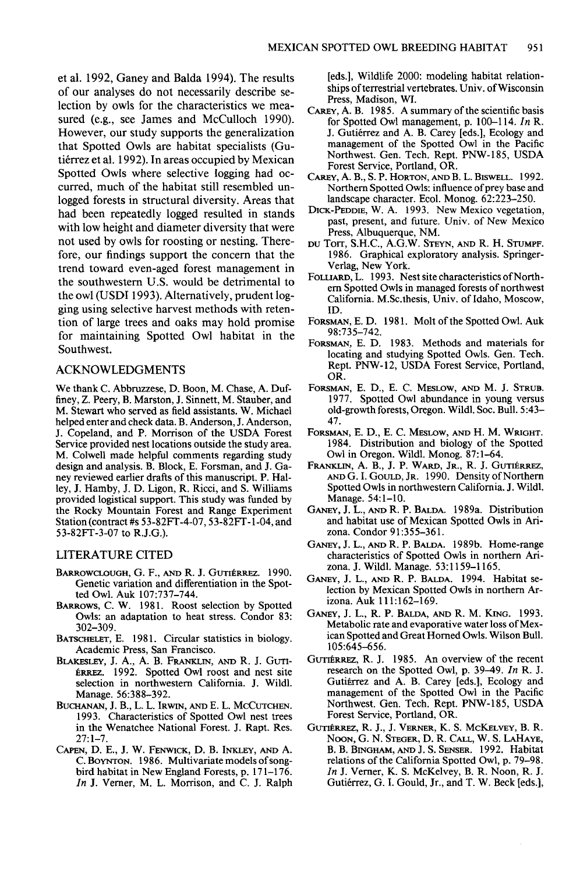**et al. 1992, Ganey and Balda 1994). The results of our analyses do not necessarily describe selection by owls for the characteristics we measured (e.g., see James and McCulloch 1990). However, our study supports the generalization that Spotted Owls are habitat specialists (Gutierrez et al. 1992). In areas occupied by Mexican Spotted Owls where selective logging had occurred, much of the habitat still resembled unlogged forests in structural diversity. Areas that had been repeatedly logged resulted in stands with low height and diameter diversity that were not used by owls for roosting or nesting. Therefore, our findings support the concern that the trend toward even-aged forest management in the southwestern U.S. would be detrimental to the owl (USDI 1993). Alternatively, prudent logging using selective harvest methods with retention of large trees and oaks may hold promise for maintaining Spotted Owl habitat in the Southwest.** 

# **ACKNOWLEDGMENTS**

**We thank C. Abbruzzese, D. Boon, M. Chase, A. Duffiney, Z. Peery, B. Marston, J. Sinnett, M. Stauber, and M. Stewart who served as field assistants. W. Michael helped enter and check data. B. Anderson, J. Anderson, J. Copeland, and P. Morrison of the USDA Forest Service provided nest locations outside the study area. M. Colwell made helpful comments regarding study design and analysis. B. Block, E. Forsman, and J. Ganey reviewed earlier drafts of this manuscript. P. Halley, J. Hamby, J. D. Ligon, R. Ricci, and S. Williams provided logistical support. This study was funded by the Rocky Mountain Forest and Range Experiment Station (contract #s 53-82FT-4-07,53-82FT-l-04, and 53-82FI-3-07 to R.J.G.).** 

#### **LITERATURE CITED**

- BARROWCLOUGH, G. F., AND R. J. GUTIÉRREZ. 1990. **Genetic variation and differentiation in the Spotted Owl. Auk 107:737-744.**
- **BARROWS, C. W. 1981. Roost selection by Spotted Owls: an adaptation to heat stress. Condor 83: 302-309.**
- BATSCHELET, E. 1981. Circular statistics in biology. **Academic Press, San Francisco.**
- BLAKESLEY, J. A., A. B. FRANKLIN, AND R. J. GUTI-**Baanz. 1992. Spotted Owl roost and nest site selection in northwestern California. J. Wildl. Manage. 56:388-392.**
- **BUCHANAN, J. B., L. L. IRWIN, AND E. L. MCCUTCHEN. 1993. Characteristics of Spotted Owl nest trees in the Wenatchee National Forest. J. Rapt. Res. 27: l-7.**
- CAPEN, D. E., J. W. FENWICK, D. B. INKLEY, AND A. **C. BOYNTON. 1986. Multivariate models of songbird habitat in New England Forests, p. 171-176. In J. Vemer, M. L. Morrison, and C. J. Ralph**

**[eds.], Wildlife 2000: modeling habitat relationships of terrestrial vertebrates. Univ. of Wisconsin Press, Madison, WI.** 

- **CAREY, A. B. 1985. A summary of the scientific basis for Spotted Owl management, p. 100-l 14. In R. J. Gutiérrez and A. B. Carey [eds.], Ecology and** management of the Spotted Owl in the Pacific **Northwest. Gen. Tech. Rept. PNW-185, USDA Forest Service, Portland, OR.**
- **CAREY, A. B., S. P. HORTON, AND B. L. BISWELL. 1992. Northern Spotted Owls: influence of prey base and landscape character. Ecol. Monog. 62:223-250.**
- **DICK-PEDDIE, W. A. 1993. New Mexico vegetation, past, present, and future. Univ. of New Mexico Press, Albuquerque, NM.**
- **DU Torr, S.H.C., A.G.W. STEYN, AND R. H. STUMPF. 1986. Graphical exploratory analysis. Springer-Verlag, New York.**
- FOLLIARD, L. 1993. Nest site characteristics of North**em Spotted Owls in managed forests of northwest California. M.Sc.thesis, Univ. of Idaho, Moscow, ID.**
- FORSMAN, E. D. 1981. Molt of the Spotted Owl. Auk **981735-742.**
- **FORSMAN, E. D. 1983. Methods and materials for locating and studying Spotted Owls. Gen. Tech. Rem. PNW- 12, USDA Forest Service, Portland, OR.**
- **FORSMAN, E. D., E. C. MESLOW, AND M. J. STRUB. 1977. Snotted Owl abundance in young, versus old-growth forests, Oregon. Wildl. Sot. Bull. 5:43- 47.**
- **FORSMAN, E. D., E. C. MESLOW, AND H. M. WRIGHT. 1984. Distribution and biology of the Spotted Owl in Oregon. Wildl. Monog. 87: l-64.**
- FRANKLIN, A. B., J. P. WARD, JR., R. J. GUTIÉRREZ, **AND G. I. GOULD, JR. 1990. Density of Northern Spotted Owls in northwestern California. J. Wildl. Manage. 54: l-10.**
- **GANEY, J. L., AND R. P. BALDA. 1989a. Distribution and habitat use of Mexican Spotted Owls in Arizona. Condor 91:355-361.**
- **GANFY, J. L., AND R. P. BALDA. 1989b. Home-range characteristics of Spotted Owls in northern Arizona. J. Wildl. Manage. 53:1159-1165.**
- **GANEY, J. L., AND R. P. BALDA. 1994. Habitat selection by Mexican Spotted Owls in northern Arizona. Auk 111:162-169.**
- **GANEY, J. L., R. P. BALDA, AND R. M. KING. 1993. Metabolic rate and evaporative water loss of Mexican Spotted and Great Homed Owls. Wilson Bull. 105:645-656.**
- GUTI**ERREZ, R. J. 1985.** An overview of the recent **research on the Spotted Owl, p. 39-49. In R. J.**  Gutiérrez and A. B. Carey [eds.], Ecology and **management of the Spotted Owl in the Pacific Northwest. Gen. Tech. Rept. PNW-185, USDA Forest Service, Portland, OR.**
- GUTIÉRREZ, R. J., J. VERNER, K. S. MCKELVEY, B. R.  $N$ OON, G. N. STEGER, D. R. CALL, W. S. LAHAYE, **B. B. BINGHAM, AND J. S. SENSER. 1992. Habitat relations of the California Spotted Owl, p. 79-98. In J. Vemer, K. S. McKelvey, B. R. Noon, R. J.**  Gutiérrez, G. I. Gould, Jr., and T. W. Beck [eds.],